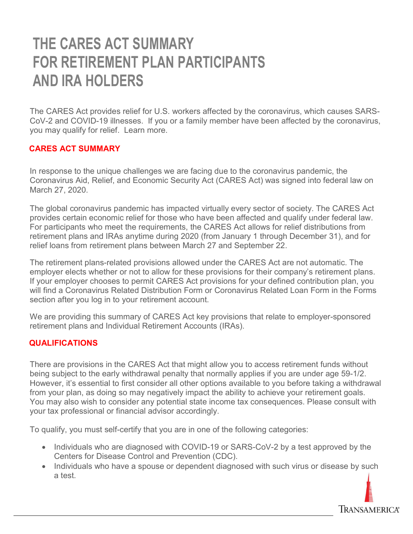# THE CARES ACT SUMMARY FOR RETIREMENT PLAN PARTICIPANTS AND IRA HOLDERS

The CARES Act provides relief for U.S. workers affected by the coronavirus, which causes SARS-CoV-2 and COVID-19 illnesses. If you or a family member have been affected by the coronavirus, you may qualify for relief. Learn more.

#### CARES ACT SUMMARY

In response to the unique challenges we are facing due to the coronavirus pandemic, the Coronavirus Aid, Relief, and Economic Security Act (CARES Act) was signed into federal law on March 27, 2020.

The global coronavirus pandemic has impacted virtually every sector of society. The CARES Act provides certain economic relief for those who have been affected and qualify under federal law. For participants who meet the requirements, the CARES Act allows for relief distributions from retirement plans and IRAs anytime during 2020 (from January 1 through December 31), and for relief loans from retirement plans between March 27 and September 22.

The retirement plans-related provisions allowed under the CARES Act are not automatic. The employer elects whether or not to allow for these provisions for their company's retirement plans. If your employer chooses to permit CARES Act provisions for your defined contribution plan, you will find a Coronavirus Related Distribution Form or Coronavirus Related Loan Form in the Forms section after you log in to your retirement account.

We are providing this summary of CARES Act key provisions that relate to employer-sponsored retirement plans and Individual Retirement Accounts (IRAs).

### **QUALIFICATIONS**

There are provisions in the CARES Act that might allow you to access retirement funds without being subject to the early withdrawal penalty that normally applies if you are under age 59-1/2. However, it's essential to first consider all other options available to you before taking a withdrawal from your plan, as doing so may negatively impact the ability to achieve your retirement goals. You may also wish to consider any potential state income tax consequences. Please consult with your tax professional or financial advisor accordingly.

To qualify, you must self-certify that you are in one of the following categories:

- Individuals who are diagnosed with COVID-19 or SARS-CoV-2 by a test approved by the Centers for Disease Control and Prevention (CDC).
- Individuals who have a spouse or dependent diagnosed with such virus or disease by such a test.

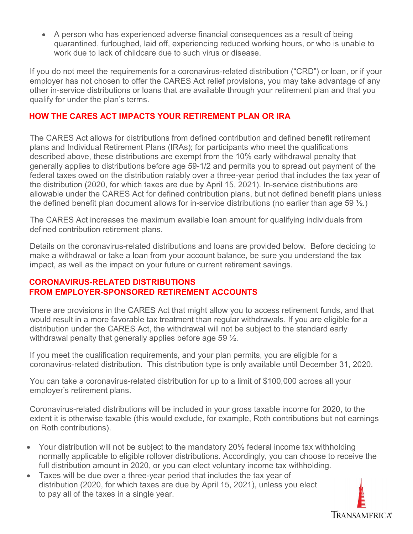A person who has experienced adverse financial consequences as a result of being quarantined, furloughed, laid off, experiencing reduced working hours, or who is unable to work due to lack of childcare due to such virus or disease.

If you do not meet the requirements for a coronavirus-related distribution ("CRD") or loan, or if your employer has not chosen to offer the CARES Act relief provisions, you may take advantage of any other in-service distributions or loans that are available through your retirement plan and that you qualify for under the plan's terms.

## HOW THE CARES ACT IMPACTS YOUR RETIREMENT PLAN OR IRA

The CARES Act allows for distributions from defined contribution and defined benefit retirement plans and Individual Retirement Plans (IRAs); for participants who meet the qualifications described above, these distributions are exempt from the 10% early withdrawal penalty that generally applies to distributions before age 59-1/2 and permits you to spread out payment of the federal taxes owed on the distribution ratably over a three-year period that includes the tax year of the distribution (2020, for which taxes are due by April 15, 2021). In-service distributions are allowable under the CARES Act for defined contribution plans, but not defined benefit plans unless the defined benefit plan document allows for in-service distributions (no earlier than age 59  $\frac{1}{2}$ .)

The CARES Act increases the maximum available loan amount for qualifying individuals from defined contribution retirement plans.

Details on the coronavirus-related distributions and loans are provided below. Before deciding to make a withdrawal or take a loan from your account balance, be sure you understand the tax impact, as well as the impact on your future or current retirement savings.

# CORONAVIRUS-RELATED DISTRIBUTIONS FROM EMPLOYER-SPONSORED RETIREMENT ACCOUNTS

There are provisions in the CARES Act that might allow you to access retirement funds, and that would result in a more favorable tax treatment than regular withdrawals. If you are eligible for a distribution under the CARES Act, the withdrawal will not be subject to the standard early withdrawal penalty that generally applies before age 59  $\frac{1}{2}$ .

If you meet the qualification requirements, and your plan permits, you are eligible for a coronavirus-related distribution. This distribution type is only available until December 31, 2020.

You can take a coronavirus-related distribution for up to a limit of \$100,000 across all your employer's retirement plans.

Coronavirus-related distributions will be included in your gross taxable income for 2020, to the extent it is otherwise taxable (this would exclude, for example, Roth contributions but not earnings on Roth contributions).

- Your distribution will not be subject to the mandatory 20% federal income tax withholding normally applicable to eligible rollover distributions. Accordingly, you can choose to receive the full distribution amount in 2020, or you can elect voluntary income tax withholding.
- Taxes will be due over a three-year period that includes the tax year of distribution (2020, for which taxes are due by April 15, 2021), unless you elect to pay all of the taxes in a single year.

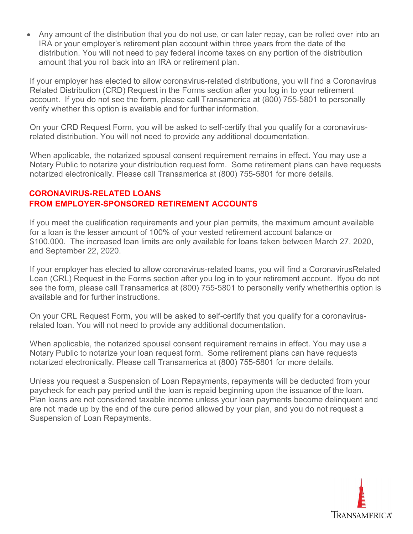amount that you roll back into an IRA or retirement plan. distribution. You will not need to pay federal income taxes on any portion of the distribution IRA or your employer's retirement plan account within three years from the date of the Any amount of the distribution that you do not use, or can later repay, can be rolled over into an

verify whether this option is available and for further information. account. If you do not see the form, please call Transamerica at (800) 755-5801 to personally Related Distribution (CRD) Request in the Forms section after you log in to your retirement If your employer has elected to allow coronavirus-related distributions, you will find a Coronavirus

related distribution. You will not need to provide any additional documentation. On your CRD Request Form, you will be asked to self-certify that you qualify for a coronavirus-

notarized electronically. Please call Transamerica at (800) 755-5801 for more details. Notary Public to notarize your distribution request form. Some retirement plans can have requests When applicable, the notarized spousal consent requirement remains in effect. You may use a

## FROM EMPLOYER-SPONSORED RETIREMENT ACCOUNTS CORONAVIRUS-RELATED LOANS

and September 22, 2020. \$100,000. The increased loan limits are only available for loans taken between March 27, 2020, for a loan is the lesser amount of 100% of your vested retirement account balance or If you meet the qualification requirements and your plan permits, the maximum amount available

available and for further instructions. see the form, please call Transamerica at (800) 755-5801 to personally verify whetherthis option is Loan (CRL) Request in the Forms section after you log in to your retirement account. Ifyou do not If your employer has elected to allow coronavirus-related loans, you will find a CoronavirusRelated

related loan. You will not need to provide any additional documentation. On your CRL Request Form, you will be asked to self-certify that you qualify for a coronavirus-

notarized electronically. Please call Transamerica at (800) 755-5801 for more details. Notary Public to notarize your loan request form. Some retirement plans can have requests When applicable, the notarized spousal consent requirement remains in effect. You may use a

Suspension of Loan Repayments. are not made up by the end of the cure period allowed by your plan, and you do not request a Plan loans are not considered taxable income unless your loan payments become delinquent and paycheck for each pay period until the loan is repaid beginning upon the issuance of the loan. Unless you request a Suspension of Loan Repayments, repayments will be deducted from your

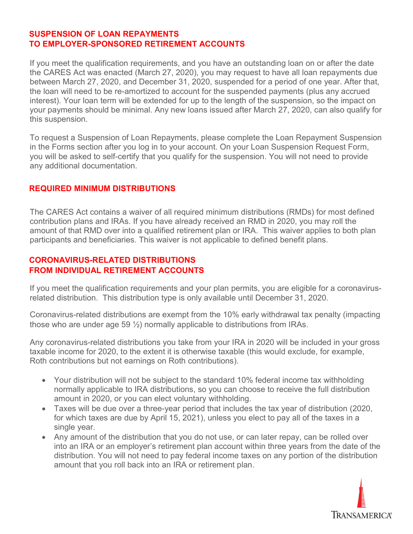#### SUSPENSION OF LOAN REPAYMENTS TO EMPLOYER-SPONSORED RETIREMENT ACCOUNTS

If you meet the qualification requirements, and you have an outstanding loan on or after the date the CARES Act was enacted (March 27, 2020), you may request to have all loan repayments due between March 27, 2020, and December 31, 2020, suspended for a period of one year. After that, the loan will need to be re-amortized to account for the suspended payments (plus any accrued interest). Your loan term will be extended for up to the length of the suspension, so the impact on your payments should be minimal. Any new loans issued after March 27, 2020, can also qualify for this suspension.

To request a Suspension of Loan Repayments, please complete the Loan Repayment Suspension in the Forms section after you log in to your account. On your Loan Suspension Request Form, you will be asked to self-certify that you qualify for the suspension. You will not need to provide any additional documentation.

#### REQUIRED MINIMUM DISTRIBUTIONS

The CARES Act contains a waiver of all required minimum distributions (RMDs) for most defined contribution plans and IRAs. If you have already received an RMD in 2020, you may roll the amount of that RMD over into a qualified retirement plan or IRA. This waiver applies to both plan participants and beneficiaries. This waiver is not applicable to defined benefit plans.

## CORONAVIRUS-RELATED DISTRIBUTIONS FROM INDIVIDUAL RETIREMENT ACCOUNTS

If you meet the qualification requirements and your plan permits, you are eligible for a coronavirusrelated distribution. This distribution type is only available until December 31, 2020.

Coronavirus-related distributions are exempt from the 10% early withdrawal tax penalty (impacting those who are under age 59  $\frac{1}{2}$  normally applicable to distributions from IRAs.

Any coronavirus-related distributions you take from your IRA in 2020 will be included in your gross taxable income for 2020, to the extent it is otherwise taxable (this would exclude, for example, Roth contributions but not earnings on Roth contributions).

- Your distribution will not be subject to the standard 10% federal income tax withholding normally applicable to IRA distributions, so you can choose to receive the full distribution amount in 2020, or you can elect voluntary withholding.
- Taxes will be due over a three-year period that includes the tax year of distribution (2020, for which taxes are due by April 15, 2021), unless you elect to pay all of the taxes in a single year.
- Any amount of the distribution that you do not use, or can later repay, can be rolled over into an IRA or an employer's retirement plan account within three years from the date of the distribution. You will not need to pay federal income taxes on any portion of the distribution amount that you roll back into an IRA or retirement plan.